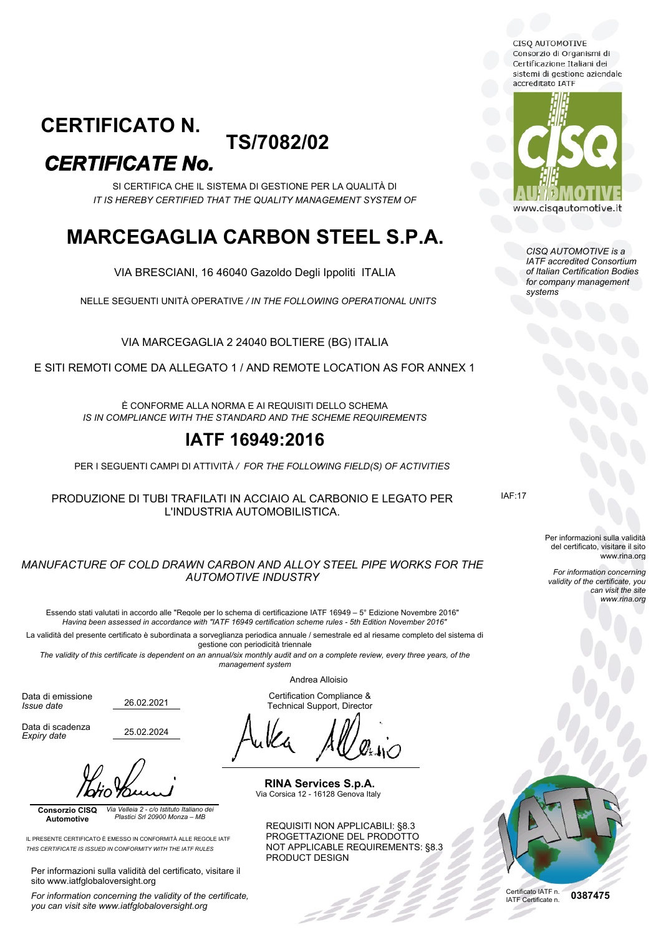CISQ AUTOMOTIVE Consorzio di Organismi di Certificazione Italiani dei sistemi di gestione aziendale accreditato TATE

### **TS/7082/02** *CERTIFICATE No.* **CERTIFICATO N.**

SI CERTIFICA CHE IL SISTEMA DI GESTIONE PER LA QUALITÀ DI *IT IS HEREBY CERTIFIED THAT THE QUALITY MANAGEMENT SYSTEM OF*

# **MARCEGAGLIA CARBON STEEL S.P.A.**

VIA BRESCIANI, 16 46040 Gazoldo Degli Ippoliti ITALIA

NELLE SEGUENTI UNITÀ OPERATIVE */ IN THE FOLLOWING OPERATIONAL UNITS*

VIA MARCEGAGLIA 2 24040 BOLTIERE (BG) ITALIA

E SITI REMOTI COME DA ALLEGATO 1 / AND REMOTE LOCATION AS FOR ANNEX 1

È CONFORME ALLA NORMA E AI REQUISITI DELLO SCHEMA *IS IN COMPLIANCE WITH THE STANDARD AND THE SCHEME REQUIREMENTS*

## **IATF 16949:2016**

PER I SEGUENTI CAMPI DI ATTIVITÀ */ FOR THE FOLLOWING FIELD(S) OF ACTIVITIES*

PRODUZIONE DI TUBI TRAFILATI IN ACCIAIO AL CARBONIO E LEGATO PER L'INDUSTRIA AUTOMOBILISTICA.

#### *MANUFACTURE OF COLD DRAWN CARBON AND ALLOY STEEL PIPE WORKS FOR THE AUTOMOTIVE INDUSTRY*

Essendo stati valutati in accordo alle "Regole per lo schema di certificazione IATF 16949 – 5° Edizione Novembre 2016" *Having been assessed in accordance with "IATF 16949 certification scheme rules - 5th Edition November 2016"*

La validità del presente certificato è subordinata a sorveglianza periodica annuale / semestrale ed al riesame completo del sistema di gestione con periodicità triennale

*The validity of this certificate is dependent on an annual/six monthly audit and on a complete review, every three years, of the management system*

Andrea Alloisio

Certification Compliance & Technical Support, Director

**RINA Services S.p.A.** Via Corsica 12 - 16128 Genova Italy

REQUISITI NON APPLICABILI: §8.3 PROGETTAZIONE DEL PRODOTTO NOT APPLICABLE REQUIREMENTS: §8.3 PRODUCT DESIGN



*CISQ AUTOMOTIVE is a IATF accredited Consortium of Italian Certification Bodies for company management systems*

IAF:17

Per informazioni sulla validità del certificato, visitare il sito www.rina.org

*For information concerning validity of the certificate, you can visit the site www.rina.org*



Data di scadenza

*Expiry date*

Data di emissione *Issue date*

25.02.2024

26.02.2021

**Consorzio CISQ Automotive** *Via Velleia 2 - c/o Istituto Italiano dei Plastici Srl 20900 Monza – MB*

IL PRESENTE CERTIFICATO È EMESSO IN CONFORMITÀ ALLE REGOLE IATF *THIS CERTIFICATE IS ISSUED IN CONFORMITY WITH THE IATF RULES*

Per informazioni sulla validità del certificato, visitare il sito www.iatfglobaloversight.org

*For information concerning the validity of the certificate, you can visit site www.iatfglobaloversight.org*